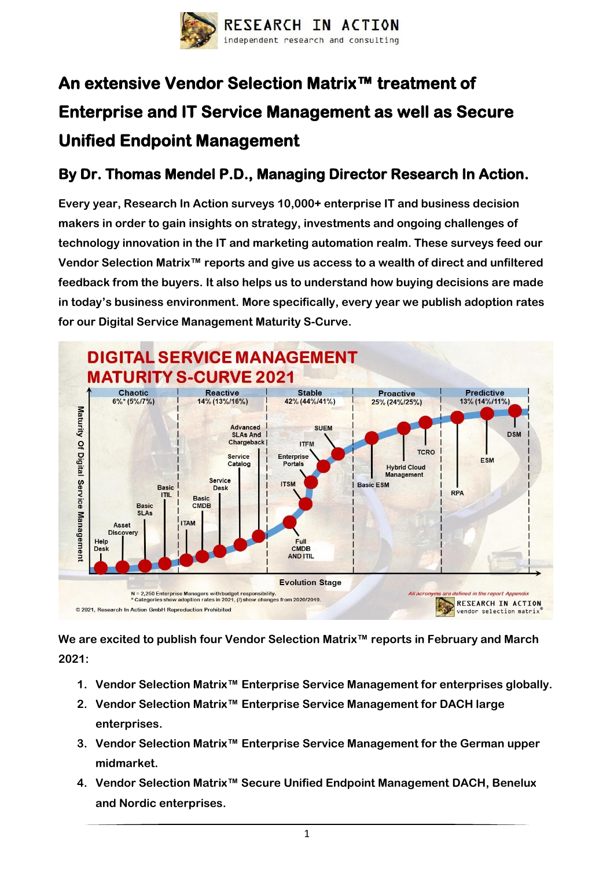

## **An extensive Vendor Selection Matrix™ treatment of Enterprise and IT Service Management as well as Secure Unified Endpoint Management**

## **By Dr. Thomas Mendel P.D., Managing Director Research In Action.**

**Every year, Research In Action surveys 10,000+ enterprise IT and business decision makers in order to gain insights on strategy, investments and ongoing challenges of technology innovation in the IT and marketing automation realm. These surveys feed our Vendor Selection Matrix™ reports and give us access to a wealth of direct and unfiltered feedback from the buyers. It also helps us to understand how buying decisions are made in today's business environment. More specifically, every year we publish adoption rates for our Digital Service Management Maturity S-Curve.**



**We are excited to publish four Vendor Selection Matrix™ reports in February and March 2021:**

- **1. Vendor Selection Matrix™ Enterprise Service Management for enterprises globally.**
- **2. Vendor Selection Matrix™ Enterprise Service Management for DACH large enterprises.**
- **3. Vendor Selection Matrix™ Enterprise Service Management for the German upper midmarket.**
- **4. Vendor Selection Matrix™ Secure Unified Endpoint Management DACH, Benelux and Nordic enterprises.**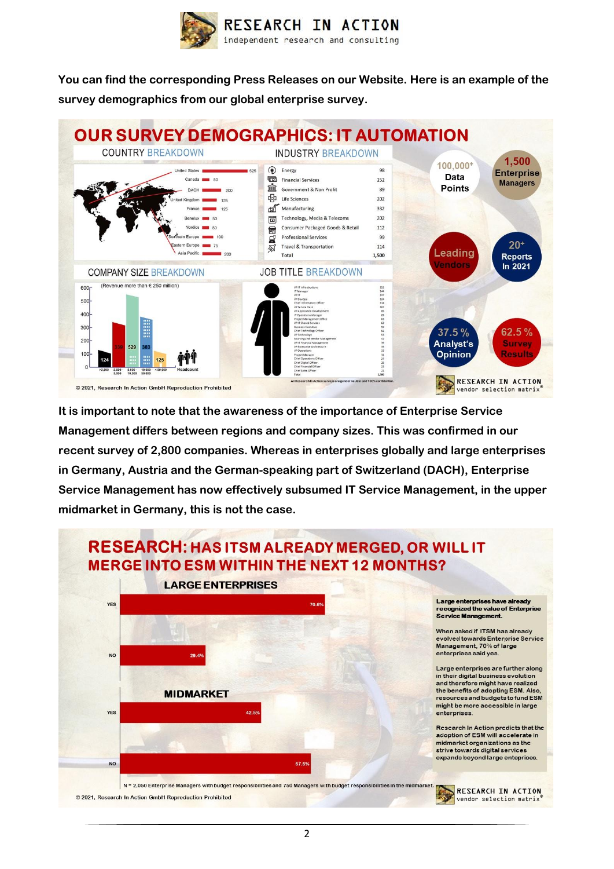

**You can find the corresponding Press Releases on our Website. Here is an example of the survey demographics from our global enterprise survey.**



**It is important to note that the awareness of the importance of Enterprise Service Management differs between regions and company sizes. This was confirmed in our recent survey of 2,800 companies. Whereas in enterprises globally and large enterprises in Germany, Austria and the German-speaking part of Switzerland (DACH), Enterprise Service Management has now effectively subsumed IT Service Management, in the upper midmarket in Germany, this is not the case.**